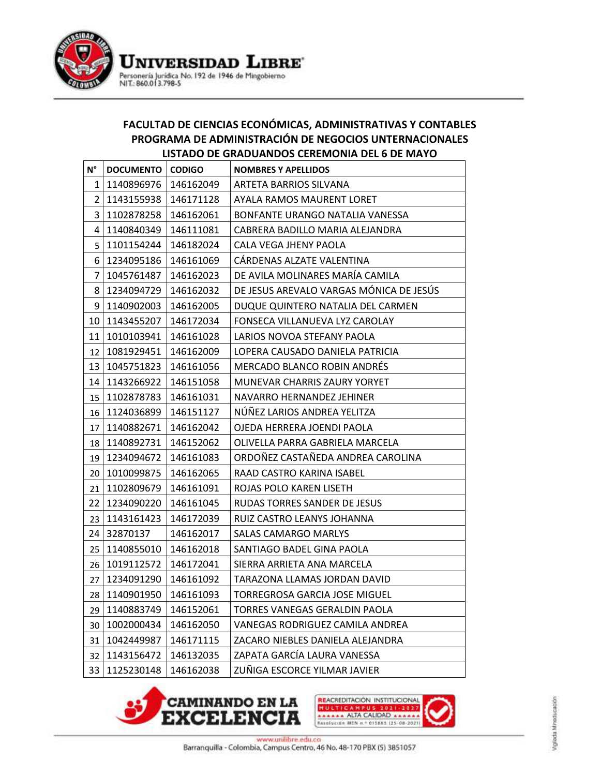

## **FACULTAD DE CIENCIAS ECONÓMICAS, ADMINISTRATIVAS Y CONTABLES PROGRAMA DE ADMINISTRACIÓN DE NEGOCIOS UNTERNACIONALES LISTADO DE GRADUANDOS CEREMONIA DEL 6 DE MAYO**

| $N^{\circ}$    | <b>DOCUMENTO</b> | <b>CODIGO</b> | <b>NOMBRES Y APELLIDOS</b>              |
|----------------|------------------|---------------|-----------------------------------------|
| 1              | 1140896976       | 146162049     | ARTETA BARRIOS SILVANA                  |
| $\overline{2}$ | 1143155938       | 146171128     | AYALA RAMOS MAURENT LORET               |
| 3              | 1102878258       | 146162061     | BONFANTE URANGO NATALIA VANESSA         |
| 4              | 1140840349       | 146111081     | CABRERA BADILLO MARIA ALEJANDRA         |
| 5              | 1101154244       | 146182024     | CALA VEGA JHENY PAOLA                   |
| 6              | 1234095186       | 146161069     | CÁRDENAS ALZATE VALENTINA               |
| $\overline{7}$ | 1045761487       | 146162023     | DE AVILA MOLINARES MARÍA CAMILA         |
| 8              | 1234094729       | 146162032     | DE JESUS AREVALO VARGAS MÓNICA DE JESÚS |
| 9              | 1140902003       | 146162005     | DUQUE QUINTERO NATALIA DEL CARMEN       |
| 10             | 1143455207       | 146172034     | FONSECA VILLANUEVA LYZ CAROLAY          |
| 11             | 1010103941       | 146161028     | LARIOS NOVOA STEFANY PAOLA              |
| 12             | 1081929451       | 146162009     | LOPERA CAUSADO DANIELA PATRICIA         |
| 13             | 1045751823       | 146161056     | MERCADO BLANCO ROBIN ANDRÉS             |
| 14             | 1143266922       | 146151058     | MUNEVAR CHARRIS ZAURY YORYET            |
| 15             | 1102878783       | 146161031     | NAVARRO HERNANDEZ JEHINER               |
| 16             | 1124036899       | 146151127     | NÚÑEZ LARIOS ANDREA YELITZA             |
| 17             | 1140882671       | 146162042     | OJEDA HERRERA JOENDI PAOLA              |
| 18             | 1140892731       | 146152062     | OLIVELLA PARRA GABRIELA MARCELA         |
| 19             | 1234094672       | 146161083     | ORDOÑEZ CASTAÑEDA ANDREA CAROLINA       |
| 20             | 1010099875       | 146162065     | RAAD CASTRO KARINA ISABEL               |
| 21             | 1102809679       | 146161091     | ROJAS POLO KAREN LISETH                 |
| 22             | 1234090220       | 146161045     | RUDAS TORRES SANDER DE JESUS            |
| 23             | 1143161423       | 146172039     | RUIZ CASTRO LEANYS JOHANNA              |
| 24             | 32870137         | 146162017     | <b>SALAS CAMARGO MARLYS</b>             |
| 25             | 1140855010       | 146162018     | SANTIAGO BADEL GINA PAOLA               |
| 26             | 1019112572       | 146172041     | SIERRA ARRIETA ANA MARCELA              |
| 27             | 1234091290       | 146161092     | TARAZONA LLAMAS JORDAN DAVID            |
| 28             | 1140901950       | 146161093     | <b>TORREGROSA GARCIA JOSE MIGUEL</b>    |
| 29             | 1140883749       | 146152061     | TORRES VANEGAS GERALDIN PAOLA           |
| 30             | 1002000434       | 146162050     | VANEGAS RODRIGUEZ CAMILA ANDREA         |
| 31             | 1042449987       | 146171115     | ZACARO NIEBLES DANIELA ALEJANDRA        |
| 32             | 1143156472       | 146132035     | ZAPATA GARCÍA LAURA VANESSA             |
| 33             | 1125230148       | 146162038     | ZUÑIGA ESCORCE YILMAR JAVIER            |



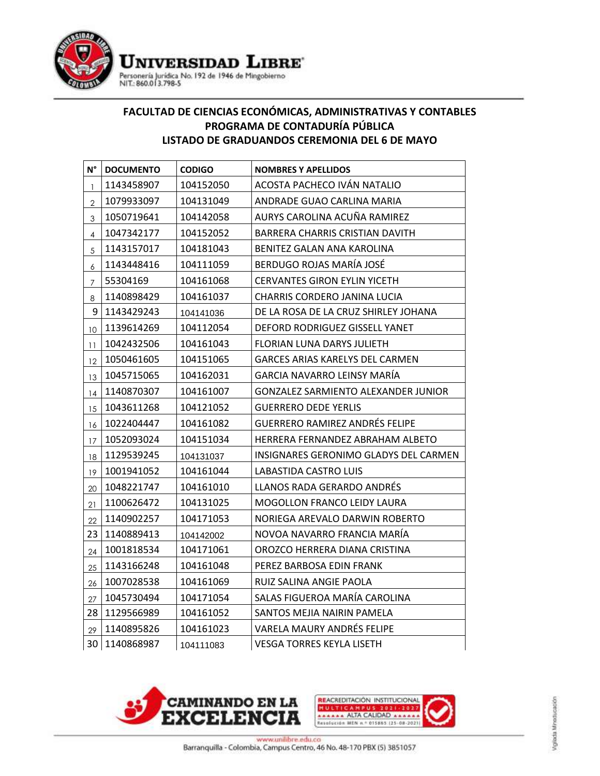

## **FACULTAD DE CIENCIAS ECONÓMICAS, ADMINISTRATIVAS Y CONTABLES PROGRAMA DE CONTADURÍA PÚBLICA LISTADO DE GRADUANDOS CEREMONIA DEL 6 DE MAYO**

| $N^{\circ}$             | <b>DOCUMENTO</b> | <b>CODIGO</b> | <b>NOMBRES Y APELLIDOS</b>            |
|-------------------------|------------------|---------------|---------------------------------------|
| 1                       | 1143458907       | 104152050     | ACOSTA PACHECO IVÁN NATALIO           |
| $\overline{2}$          | 1079933097       | 104131049     | ANDRADE GUAO CARLINA MARIA            |
| 3                       | 1050719641       | 104142058     | AURYS CAROLINA ACUÑA RAMIREZ          |
| $\overline{\mathbf{4}}$ | 1047342177       | 104152052     | BARRERA CHARRIS CRISTIAN DAVITH       |
| 5                       | 1143157017       | 104181043     | BENITEZ GALAN ANA KAROLINA            |
| 6                       | 1143448416       | 104111059     | BERDUGO ROJAS MARÍA JOSÉ              |
| $\overline{7}$          | 55304169         | 104161068     | <b>CERVANTES GIRON EYLIN YICETH</b>   |
| 8                       | 1140898429       | 104161037     | CHARRIS CORDERO JANINA LUCIA          |
| 9                       | 1143429243       | 104141036     | DE LA ROSA DE LA CRUZ SHIRLEY JOHANA  |
| 10                      | 1139614269       | 104112054     | DEFORD RODRIGUEZ GISSELL YANET        |
| 11                      | 1042432506       | 104161043     | FLORIAN LUNA DARYS JULIETH            |
| 12                      | 1050461605       | 104151065     | GARCES ARIAS KARELYS DEL CARMEN       |
| 13                      | 1045715065       | 104162031     | GARCIA NAVARRO LEINSY MARÍA           |
| 14                      | 1140870307       | 104161007     | GONZALEZ SARMIENTO ALEXANDER JUNIOR   |
| 15                      | 1043611268       | 104121052     | <b>GUERRERO DEDE YERLIS</b>           |
| 16                      | 1022404447       | 104161082     | GUERRERO RAMIREZ ANDRÉS FELIPE        |
| 17                      | 1052093024       | 104151034     | HERRERA FERNANDEZ ABRAHAM ALBETO      |
| 18                      | 1129539245       | 104131037     | INSIGNARES GERONIMO GLADYS DEL CARMEN |
| 19                      | 1001941052       | 104161044     | LABASTIDA CASTRO LUIS                 |
| 20                      | 1048221747       | 104161010     | LLANOS RADA GERARDO ANDRÉS            |
| 21                      | 1100626472       | 104131025     | MOGOLLON FRANCO LEIDY LAURA           |
| 22                      | 1140902257       | 104171053     | NORIEGA AREVALO DARWIN ROBERTO        |
| 23                      | 1140889413       | 104142002     | NOVOA NAVARRO FRANCIA MARÍA           |
| 24                      | 1001818534       | 104171061     | OROZCO HERRERA DIANA CRISTINA         |
| 25                      | 1143166248       | 104161048     | PEREZ BARBOSA EDIN FRANK              |
| 26                      | 1007028538       | 104161069     | RUIZ SALINA ANGIE PAOLA               |
| 27                      | 1045730494       | 104171054     | SALAS FIGUEROA MARÍA CAROLINA         |
| 28                      | 1129566989       | 104161052     | SANTOS MEJIA NAIRIN PAMELA            |
| 29                      | 1140895826       | 104161023     | <b>VARELA MAURY ANDRÉS FELIPE</b>     |
| 30                      | 1140868987       | 104111083     | <b>VESGA TORRES KEYLA LISETH</b>      |